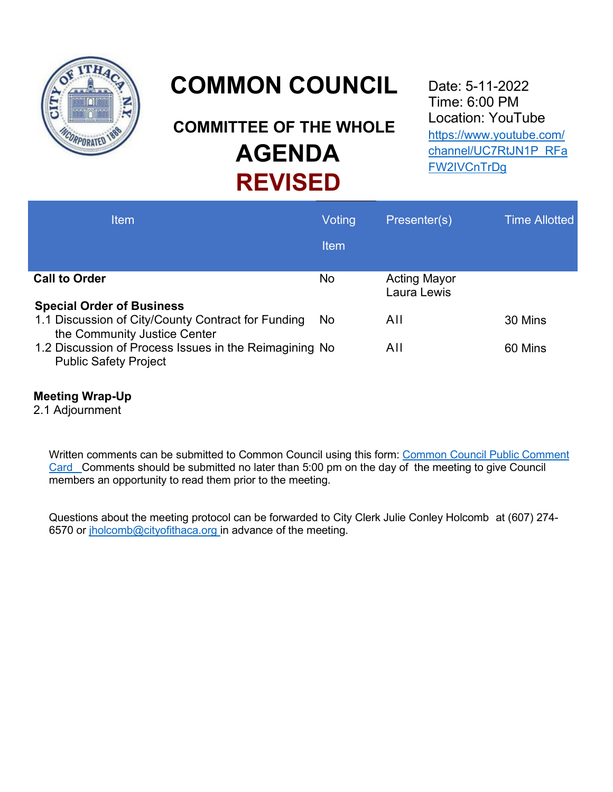

# **COMMON COUNCIL**

# **COMMITTEE OF THE WHOLE AGENDA REVISED**

Date: 5-11-2022 Time: 6:00 PM Location: YouTube [https://www.youtube.com/](https://www.youtube.com/channel/UC7RtJN1P_RFaFW2IVCnTrDg) [channel/UC7RtJN1P\\_RFa](https://www.youtube.com/channel/UC7RtJN1P_RFaFW2IVCnTrDg) [FW2IVCnTrDg](https://www.youtube.com/channel/UC7RtJN1P_RFaFW2IVCnTrDg)

| Item                                                                                                                   | Voting      | Presenter(s)                       | <b>Time Allotted</b> |
|------------------------------------------------------------------------------------------------------------------------|-------------|------------------------------------|----------------------|
|                                                                                                                        | <b>Item</b> |                                    |                      |
| <b>Call to Order</b>                                                                                                   | No          | <b>Acting Mayor</b><br>Laura Lewis |                      |
| <b>Special Order of Business</b><br>1.1 Discussion of City/County Contract for Funding<br>the Community Justice Center | <b>No</b>   | All                                | 30 Mins              |
| 1.2 Discussion of Process Issues in the Reimagining No<br><b>Public Safety Project</b>                                 |             | AII                                | 60 Mins              |

### **Meeting Wrap-Up**

2.1 Adjournment

Written comments can be submitted to Common Council using this form: Common Council Public Comment [Card](http://www.cityofithaca.org/FormCenter/Common-Council-16/Common-Council-Public-Comment-Form-95) Comments should be submitted no later than 5:00 pm on the day of the meeting to give Council members an opportunity to read them prior to the meeting.

Questions about the meeting protocol can be forwarded to City Clerk Julie Conley Holcomb at (607) 274- 6570 or [jholcomb@cityofithaca.org](mailto:jholcomb@cityofithaca.org) in advance of the meeting.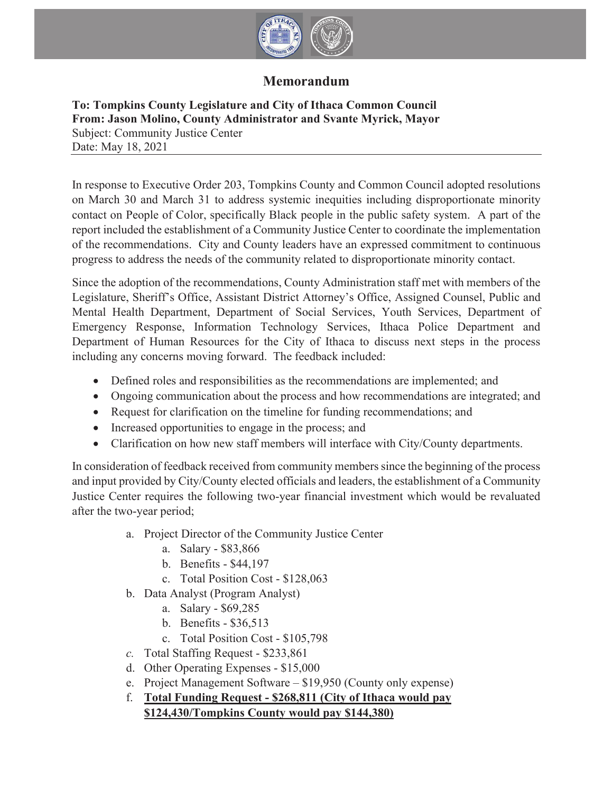

## **Memorandum**

#### **To: Tompkins County Legislature and City of Ithaca Common Council From: Jason Molino, County Administrator and Svante Myrick, Mayor** Subject: Community Justice Center Date: May 18, 2021

In response to Executive Order 203, Tompkins County and Common Council adopted resolutions on March 30 and March 31 to address systemic inequities including disproportionate minority contact on People of Color, specifically Black people in the public safety system. A part of the report included the establishment of a Community Justice Center to coordinate the implementation of the recommendations. City and County leaders have an expressed commitment to continuous progress to address the needs of the community related to disproportionate minority contact.

Since the adoption of the recommendations, County Administration staff met with members of the Legislature, Sheriff's Office, Assistant District Attorney's Office, Assigned Counsel, Public and Mental Health Department, Department of Social Services, Youth Services, Department of Emergency Response, Information Technology Services, Ithaca Police Department and Department of Human Resources for the City of Ithaca to discuss next steps in the process including any concerns moving forward. The feedback included:

- Defined roles and responsibilities as the recommendations are implemented; and
- Ongoing communication about the process and how recommendations are integrated; and
- Request for clarification on the timeline for funding recommendations; and
- Increased opportunities to engage in the process; and
- Clarification on how new staff members will interface with City/County departments.

In consideration of feedback received from community members since the beginning of the process and input provided by City/County elected officials and leaders, the establishment of a Community Justice Center requires the following two-year financial investment which would be revaluated after the two-year period;

- a. Project Director of the Community Justice Center
	- a. Salary \$83,866
	- b. Benefits \$44,197
	- c. Total Position Cost \$128,063
- b. Data Analyst (Program Analyst)
	- a. Salary \$69,285
	- b. Benefits \$36,513
	- c. Total Position Cost \$105,798
- *c.* Total Staffing Request \$233,861
- d. Other Operating Expenses \$15,000
- e. Project Management Software \$19,950 (County only expense)
- f. **Total Funding Request \$268,811 (City of Ithaca would pay \$124,430/Tompkins County would pay \$144,380)**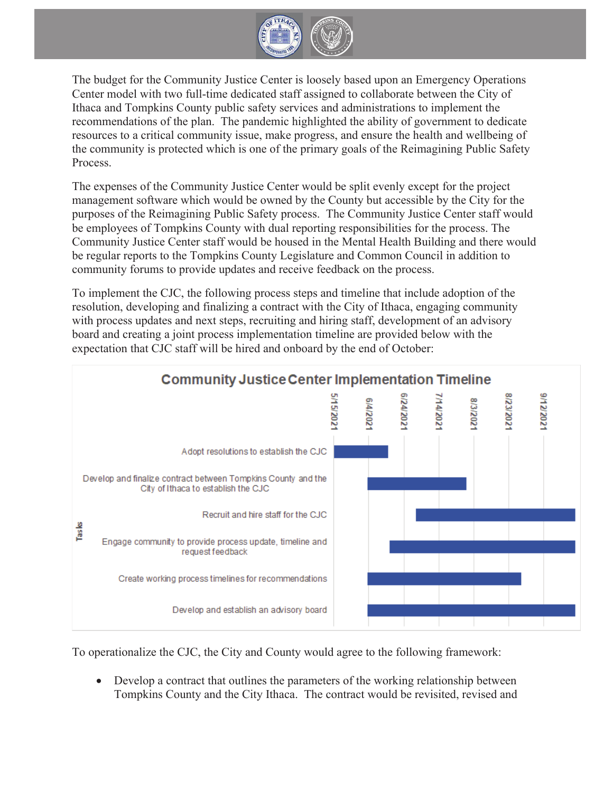

The budget for the Community Justice Center is loosely based upon an Emergency Operations Center model with two full-time dedicated staff assigned to collaborate between the City of Ithaca and Tompkins County public safety services and administrations to implement the recommendations of the plan. The pandemic highlighted the ability of government to dedicate resources to a critical community issue, make progress, and ensure the health and wellbeing of the community is protected which is one of the primary goals of the Reimagining Public Safety Process.

The expenses of the Community Justice Center would be split evenly except for the project management software which would be owned by the County but accessible by the City for the purposes of the Reimagining Public Safety process. The Community Justice Center staff would be employees of Tompkins County with dual reporting responsibilities for the process. The Community Justice Center staff would be housed in the Mental Health Building and there would be regular reports to the Tompkins County Legislature and Common Council in addition to community forums to provide updates and receive feedback on the process.

To implement the CJC, the following process steps and timeline that include adoption of the resolution, developing and finalizing a contract with the City of Ithaca, engaging community with process updates and next steps, recruiting and hiring staff, development of an advisory board and creating a joint process implementation timeline are provided below with the expectation that CJC staff will be hired and onboard by the end of October:



To operationalize the CJC, the City and County would agree to the following framework:

• Develop a contract that outlines the parameters of the working relationship between Tompkins County and the City Ithaca. The contract would be revisited, revised and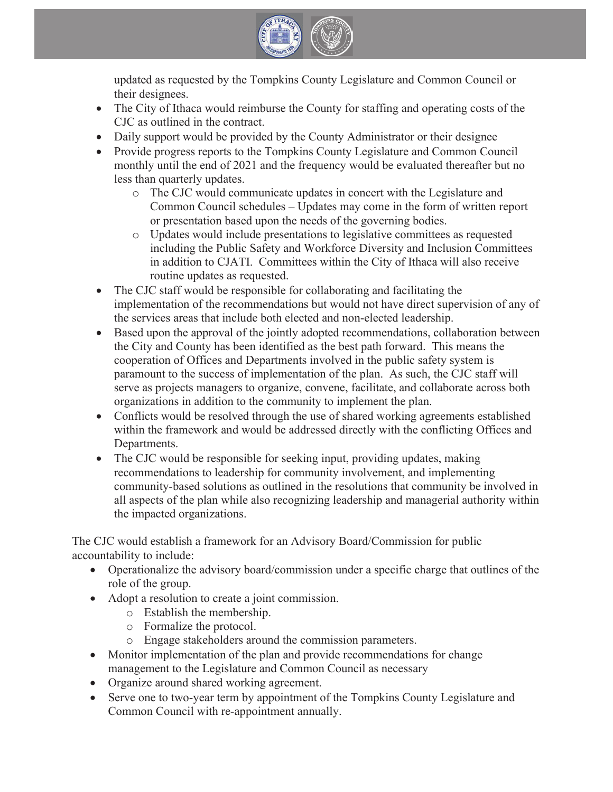

updated as requested by the Tompkins County Legislature and Common Council or their designees.

- The City of Ithaca would reimburse the County for staffing and operating costs of the CJC as outlined in the contract.
- Daily support would be provided by the County Administrator or their designee
- Provide progress reports to the Tompkins County Legislature and Common Council monthly until the end of 2021 and the frequency would be evaluated thereafter but no less than quarterly updates.
	- o The CJC would communicate updates in concert with the Legislature and Common Council schedules – Updates may come in the form of written report or presentation based upon the needs of the governing bodies.
	- o Updates would include presentations to legislative committees as requested including the Public Safety and Workforce Diversity and Inclusion Committees in addition to CJATI. Committees within the City of Ithaca will also receive routine updates as requested.
- The CJC staff would be responsible for collaborating and facilitating the implementation of the recommendations but would not have direct supervision of any of the services areas that include both elected and non-elected leadership.
- Based upon the approval of the jointly adopted recommendations, collaboration between the City and County has been identified as the best path forward. This means the cooperation of Offices and Departments involved in the public safety system is paramount to the success of implementation of the plan. As such, the CJC staff will serve as projects managers to organize, convene, facilitate, and collaborate across both organizations in addition to the community to implement the plan.
- Conflicts would be resolved through the use of shared working agreements established within the framework and would be addressed directly with the conflicting Offices and Departments.
- $\bullet$  The CJC would be responsible for seeking input, providing updates, making recommendations to leadership for community involvement, and implementing community-based solutions as outlined in the resolutions that community be involved in all aspects of the plan while also recognizing leadership and managerial authority within the impacted organizations.

The CJC would establish a framework for an Advisory Board/Commission for public accountability to include:

- Operationalize the advisory board/commission under a specific charge that outlines of the role of the group.
- Adopt a resolution to create a joint commission.
	- o Establish the membership.
	- o Formalize the protocol.
	- o Engage stakeholders around the commission parameters.
- Monitor implementation of the plan and provide recommendations for change management to the Legislature and Common Council as necessary
- Organize around shared working agreement.
- Serve one to two-year term by appointment of the Tompkins County Legislature and Common Council with re-appointment annually.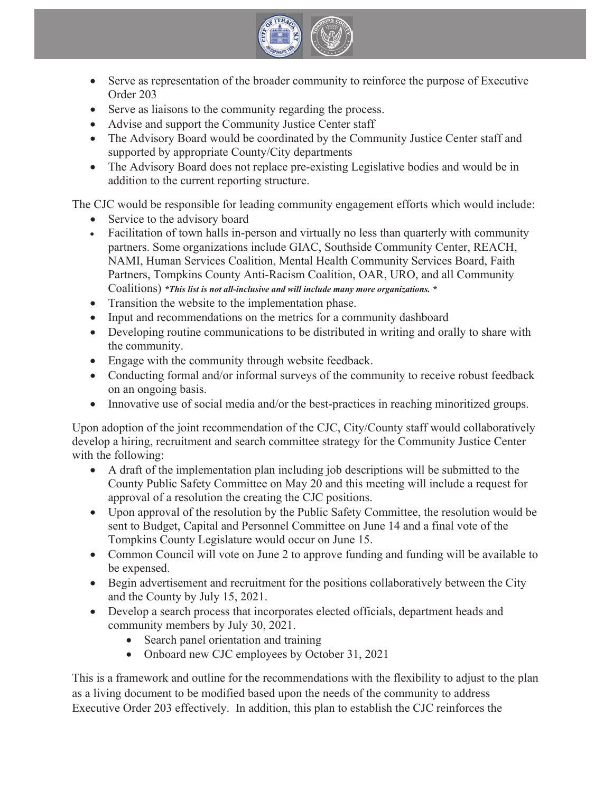

- Serve as representation of the broader community to reinforce the purpose of Executive Order 203
- Serve as liaisons to the community regarding the process.
- Advise and support the Community Justice Center staff
- The Advisory Board would be coordinated by the Community Justice Center staff and supported by appropriate County/City departments
- The Advisory Board does not replace pre-existing Legislative bodies and would be in addition to the current reporting structure.

The CJC would be responsible for leading community engagement efforts which would include:

- Service to the advisory board
- Facilitation of town halls in-person and virtually no less than quarterly with community partners. Some organizations include GIAC, Southside Community Center, REACH, NAMI, Human Services Coalition, Mental Health Community Services Board, Faith Partners, Tompkins County Anti-Racism Coalition, OAR, URO, and all Community Coalitions) *\*This list is not all-inclusive and will include many more organizations. \**
- Transition the website to the implementation phase.
- Input and recommendations on the metrics for a community dashboard
- Developing routine communications to be distributed in writing and orally to share with the community.
- Engage with the community through website feedback.
- Conducting formal and/or informal surveys of the community to receive robust feedback on an ongoing basis.
- Innovative use of social media and/or the best-practices in reaching minoritized groups.

Upon adoption of the joint recommendation of the CJC, City/County staff would collaboratively develop a hiring, recruitment and search committee strategy for the Community Justice Center with the following:

- A draft of the implementation plan including job descriptions will be submitted to the County Public Safety Committee on May 20 and this meeting will include a request for approval of a resolution the creating the CJC positions.
- Upon approval of the resolution by the Public Safety Committee, the resolution would be sent to Budget, Capital and Personnel Committee on June 14 and a final vote of the Tompkins County Legislature would occur on June 15.
- Common Council will vote on June 2 to approve funding and funding will be available to be expensed.
- Begin advertisement and recruitment for the positions collaboratively between the City and the County by July 15, 2021.
- Develop a search process that incorporates elected officials, department heads and community members by July 30, 2021.
	- Search panel orientation and training
	- Onboard new CJC employees by October 31, 2021

This is a framework and outline for the recommendations with the flexibility to adjust to the plan as a living document to be modified based upon the needs of the community to address Executive Order 203 effectively. In addition, this plan to establish the CJC reinforces the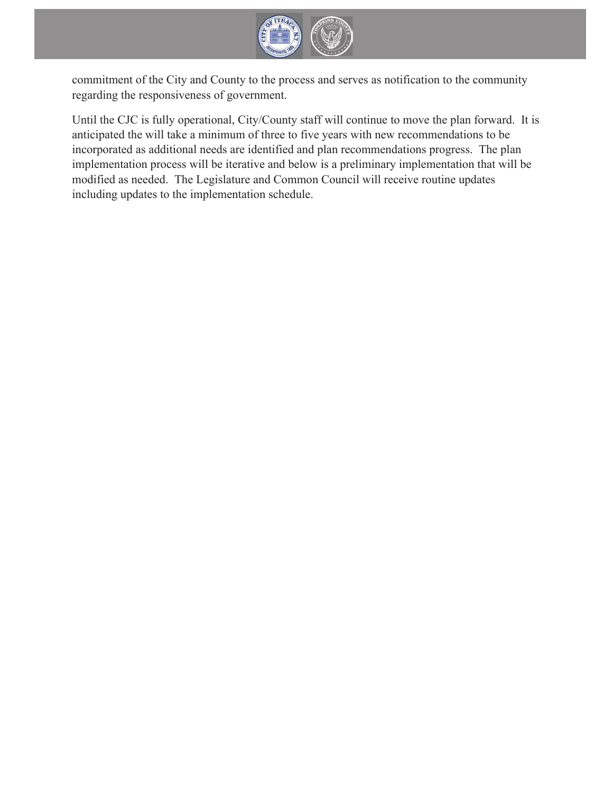

commitment of the City and County to the process and serves as notification to the community regarding the responsiveness of government.

Until the CJC is fully operational, City/County staff will continue to move the plan forward. It is anticipated the will take a minimum of three to five years with new recommendations to be incorporated as additional needs are identified and plan recommendations progress. The plan implementation process will be iterative and below is a preliminary implementation that will be modified as needed. The Legislature and Common Council will receive routine updates including updates to the implementation schedule.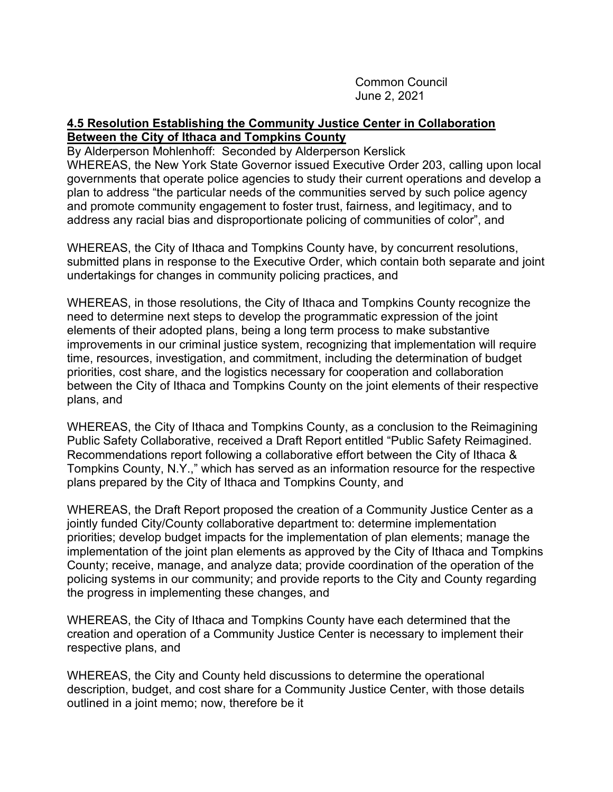Common Council June 2, 2021

#### **4.5 Resolution Establishing the Community Justice Center in Collaboration Between the City of Ithaca and Tompkins County**

By Alderperson Mohlenhoff: Seconded by Alderperson Kerslick WHEREAS, the New York State Governor issued Executive Order 203, calling upon local governments that operate police agencies to study their current operations and develop a plan to address "the particular needs of the communities served by such police agency and promote community engagement to foster trust, fairness, and legitimacy, and to address any racial bias and disproportionate policing of communities of color", and

WHEREAS, the City of Ithaca and Tompkins County have, by concurrent resolutions, submitted plans in response to the Executive Order, which contain both separate and joint undertakings for changes in community policing practices, and

WHEREAS, in those resolutions, the City of Ithaca and Tompkins County recognize the need to determine next steps to develop the programmatic expression of the joint elements of their adopted plans, being a long term process to make substantive improvements in our criminal justice system, recognizing that implementation will require time, resources, investigation, and commitment, including the determination of budget priorities, cost share, and the logistics necessary for cooperation and collaboration between the City of Ithaca and Tompkins County on the joint elements of their respective plans, and

WHEREAS, the City of Ithaca and Tompkins County, as a conclusion to the Reimagining Public Safety Collaborative, received a Draft Report entitled "Public Safety Reimagined. Recommendations report following a collaborative effort between the City of Ithaca & Tompkins County, N.Y.," which has served as an information resource for the respective plans prepared by the City of Ithaca and Tompkins County, and

WHEREAS, the Draft Report proposed the creation of a Community Justice Center as a jointly funded City/County collaborative department to: determine implementation priorities; develop budget impacts for the implementation of plan elements; manage the implementation of the joint plan elements as approved by the City of Ithaca and Tompkins County; receive, manage, and analyze data; provide coordination of the operation of the policing systems in our community; and provide reports to the City and County regarding the progress in implementing these changes, and

WHEREAS, the City of Ithaca and Tompkins County have each determined that the creation and operation of a Community Justice Center is necessary to implement their respective plans, and

WHEREAS, the City and County held discussions to determine the operational description, budget, and cost share for a Community Justice Center, with those details outlined in a joint memo; now, therefore be it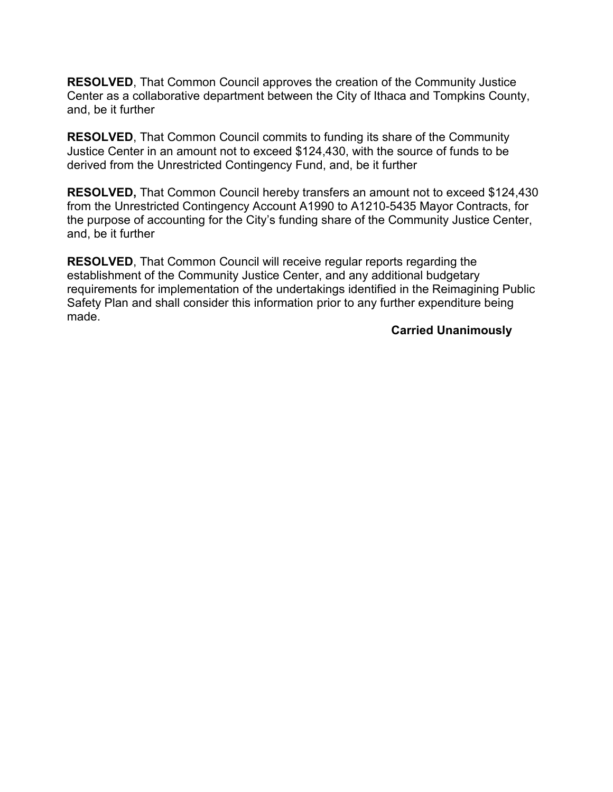**RESOLVED**, That Common Council approves the creation of the Community Justice Center as a collaborative department between the City of Ithaca and Tompkins County, and, be it further

**RESOLVED**, That Common Council commits to funding its share of the Community Justice Center in an amount not to exceed \$124,430, with the source of funds to be derived from the Unrestricted Contingency Fund, and, be it further

**RESOLVED,** That Common Council hereby transfers an amount not to exceed \$124,430 from the Unrestricted Contingency Account A1990 to A1210-5435 Mayor Contracts, for the purpose of accounting for the City's funding share of the Community Justice Center, and, be it further

**RESOLVED**, That Common Council will receive regular reports regarding the establishment of the Community Justice Center, and any additional budgetary requirements for implementation of the undertakings identified in the Reimagining Public Safety Plan and shall consider this information prior to any further expenditure being made.

#### **Carried Unanimously**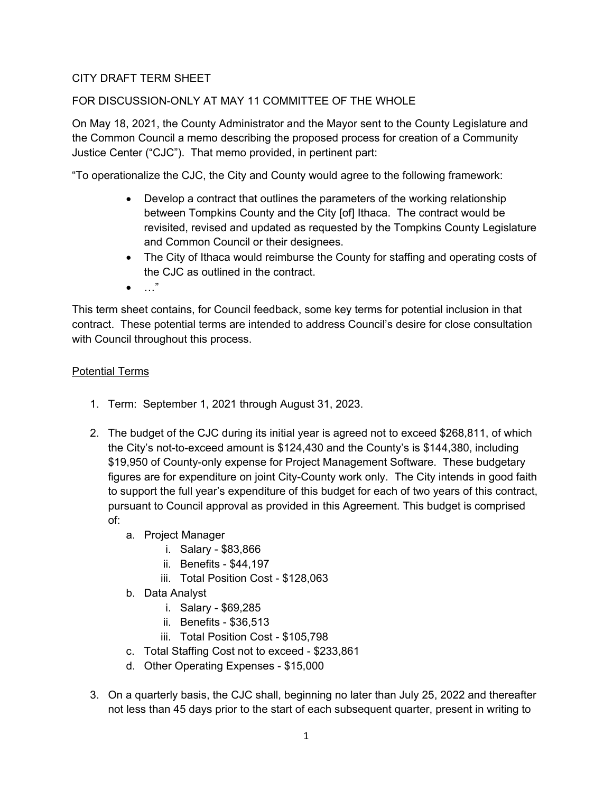#### CITY DRAFT TERM SHEET

#### FOR DISCUSSION-ONLY AT MAY 11 COMMITTEE OF THE WHOLE

On May 18, 2021, the County Administrator and the Mayor sent to the County Legislature and the Common Council a memo describing the proposed process for creation of a Community Justice Center ("CJC"). That memo provided, in pertinent part:

"To operationalize the CJC, the City and County would agree to the following framework:

- Develop a contract that outlines the parameters of the working relationship between Tompkins County and the City [of] Ithaca. The contract would be revisited, revised and updated as requested by the Tompkins County Legislature and Common Council or their designees.
- The City of Ithaca would reimburse the County for staffing and operating costs of the CJC as outlined in the contract.
- $\bullet$  …"

This term sheet contains, for Council feedback, some key terms for potential inclusion in that contract. These potential terms are intended to address Council's desire for close consultation with Council throughout this process.

#### Potential Terms

- 1. Term: September 1, 2021 through August 31, 2023.
- 2. The budget of the CJC during its initial year is agreed not to exceed \$268,811, of which the City's not-to-exceed amount is \$124,430 and the County's is \$144,380, including \$19,950 of County-only expense for Project Management Software. These budgetary figures are for expenditure on joint City-County work only. The City intends in good faith to support the full year's expenditure of this budget for each of two years of this contract, pursuant to Council approval as provided in this Agreement. This budget is comprised of:
	- a. Project Manager
		- i. Salary \$83,866
		- ii. Benefits \$44,197
		- iii. Total Position Cost \$128,063
	- b. Data Analyst
		- i. Salary \$69,285
		- ii. Benefits \$36,513
		- iii. Total Position Cost \$105,798
	- c. Total Staffing Cost not to exceed \$233,861
	- d. Other Operating Expenses \$15,000
- 3. On a quarterly basis, the CJC shall, beginning no later than July 25, 2022 and thereafter not less than 45 days prior to the start of each subsequent quarter, present in writing to